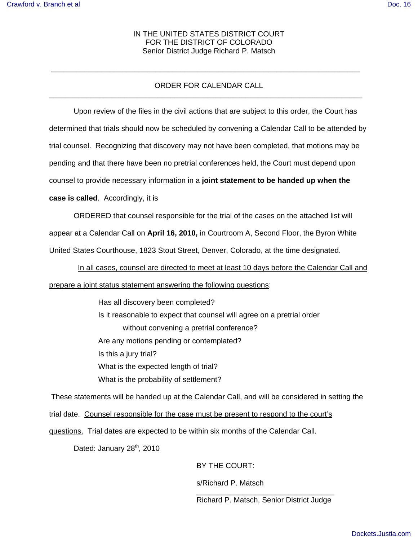## IN THE UNITED STATES DISTRICT COURT FOR THE DISTRICT OF COLORADO Senior District Judge Richard P. Matsch

## ORDER FOR CALENDAR CALL \_\_\_\_\_\_\_\_\_\_\_\_\_\_\_\_\_\_\_\_\_\_\_\_\_\_\_\_\_\_\_\_\_\_\_\_\_\_\_\_\_\_\_\_\_\_\_\_\_\_\_\_\_\_\_\_\_\_\_\_\_\_\_\_\_\_\_\_\_\_\_\_\_\_\_

\_\_\_\_\_\_\_\_\_\_\_\_\_\_\_\_\_\_\_\_\_\_\_\_\_\_\_\_\_\_\_\_\_\_\_\_\_\_\_\_\_\_\_\_\_\_\_\_\_\_\_\_\_\_\_\_\_\_\_\_\_\_\_\_\_\_\_\_\_\_\_\_\_\_

Upon review of the files in the civil actions that are subject to this order, the Court has determined that trials should now be scheduled by convening a Calendar Call to be attended by trial counsel. Recognizing that discovery may not have been completed, that motions may be pending and that there have been no pretrial conferences held, the Court must depend upon counsel to provide necessary information in a **joint statement to be handed up when the**

#### **case is called**. Accordingly, it is

ORDERED that counsel responsible for the trial of the cases on the attached list will appear at a Calendar Call on **April 16, 2010,** in Courtroom A, Second Floor, the Byron White United States Courthouse, 1823 Stout Street, Denver, Colorado, at the time designated.

 In all cases, counsel are directed to meet at least 10 days before the Calendar Call and prepare a joint status statement answering the following questions:

> Has all discovery been completed? Is it reasonable to expect that counsel will agree on a pretrial order without convening a pretrial conference? Are any motions pending or contemplated? Is this a jury trial? What is the expected length of trial? What is the probability of settlement?

 These statements will be handed up at the Calendar Call, and will be considered in setting the trial date. Counsel responsible for the case must be present to respond to the court's questions. Trial dates are expected to be within six months of the Calendar Call.

Dated: January 28<sup>th</sup>, 2010

BY THE COURT:

s/Richard P. Matsch

\_\_\_\_\_\_\_\_\_\_\_\_\_\_\_\_\_\_\_\_\_\_\_\_\_\_\_\_\_\_\_\_\_ Richard P. Matsch, Senior District Judge